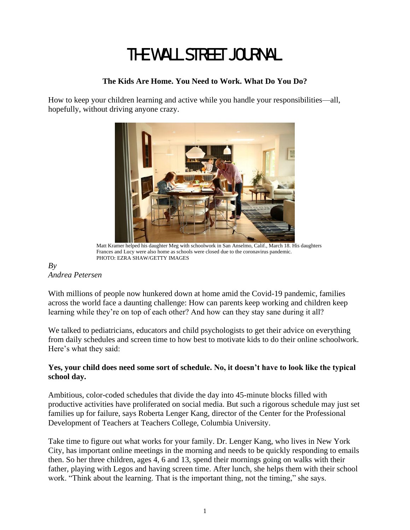# THE WALL STREET JOURNAL.

# **The Kids Are Home. You Need to Work. What Do You Do?**

How to keep your children learning and active while you handle your responsibilities—all, hopefully, without driving anyone crazy.



Matt Kramer helped his daughter Meg with schoolwork in San Anselmo, Calif., March 18. His daughters Frances and Lucy were also home as schools were closed due to the coronavirus pandemic. PHOTO: EZRA SHAW/GETTY IMAGES

## *By Andrea Petersen*

With millions of people now hunkered down at home amid the Covid-19 pandemic, families across the world face a daunting challenge: How can parents keep working and children keep learning while they're on top of each other? And how can they stay sane during it all?

We talked to pediatricians, educators and child psychologists to get their advice on everything from daily schedules and screen time to how best to motivate kids to do their online schoolwork. Here's what they said:

## **Yes, your child does need some sort of schedule. No, it doesn't have to look like the typical school day.**

Ambitious, color-coded schedules that divide the day into 45-minute blocks filled with productive activities have proliferated on social media. But such a rigorous schedule may just set families up for failure, says Roberta Lenger Kang, director of the Center for the Professional Development of Teachers at Teachers College, Columbia University.

Take time to figure out what works for your family. Dr. Lenger Kang, who lives in New York City, has important online meetings in the morning and needs to be quickly responding to emails then. So her three children, ages 4, 6 and 13, spend their mornings going on walks with their father, playing with Legos and having screen time. After lunch, she helps them with their school work. "Think about the learning. That is the important thing, not the timing," she says.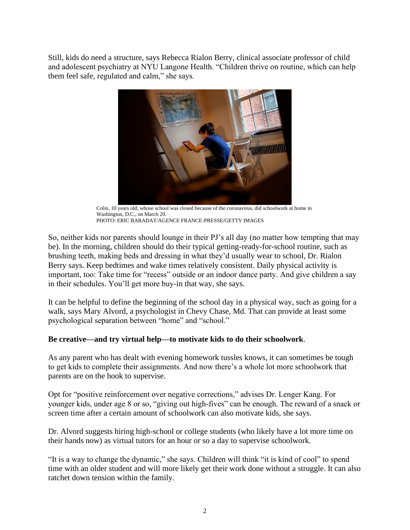Still, kids do need a structure, says Rebecca Rialon Berry, clinical associate professor of child and adolescent psychiatry at NYU Langone Health. "Children thrive on routine, which can help them feel safe, regulated and calm," she says.



Colin, 10 years old, whose school was closed because of the coronavirus, did schoolwork at home in Washington, D.C., on March 20. PHOTO: ERIC BARADAT/AGENCE FRANCE-PRESSE/GETTY IMAGES

So, neither kids nor parents should lounge in their PJ's all day (no matter how tempting that may be). In the morning, children should do their typical getting-ready-for-school routine, such as brushing teeth, making beds and dressing in what they'd usually wear to school, Dr. Rialon Berry says. Keep bedtimes and wake times relatively consistent. Daily physical activity is important, too: Take time for "recess" outside or an indoor dance party. And give children a say in their schedules. You'll get more buy-in that way, she says.

It can be helpful to define the beginning of the school day in a physical way, such as going for a walk, says Mary Alvord, a psychologist in Chevy Chase, Md. That can provide at least some psychological separation between "home" and "school."

#### **Be creative—and try virtual help—to motivate kids to do their schoolwork**.

As any parent who has dealt with evening homework tussles knows, it can sometimes be tough to get kids to complete their assignments. And now there's a whole lot more schoolwork that parents are on the hook to supervise.

Opt for "positive reinforcement over negative corrections," advises Dr. Lenger Kang. For younger kids, under age 8 or so, "giving out high-fives" can be enough. The reward of a snack or screen time after a certain amount of schoolwork can also motivate kids, she says.

Dr. Alvord suggests hiring high-school or college students (who likely have a lot more time on their hands now) as virtual tutors for an hour or so a day to supervise schoolwork.

"It is a way to change the dynamic," she says. Children will think "it is kind of cool" to spend time with an older student and will more likely get their work done without a struggle. It can also ratchet down tension within the family.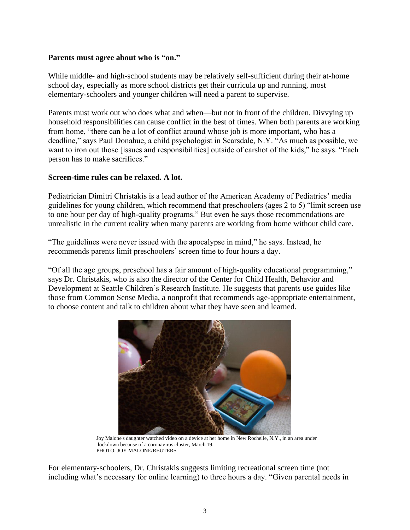## **Parents must agree about who is "on."**

While middle- and high-school students may be relatively self-sufficient during their at-home school day, especially as more school districts get their curricula up and running, most elementary-schoolers and younger children will need a parent to supervise.

Parents must work out who does what and when—but not in front of the children. Divvying up household responsibilities can cause conflict in the best of times. When both parents are working from home, "there can be a lot of conflict around whose job is more important, who has a deadline," says Paul Donahue, a child psychologist in Scarsdale, N.Y. "As much as possible, we want to iron out those [issues and responsibilities] outside of earshot of the kids," he says. "Each person has to make sacrifices."

#### **Screen-time rules can be relaxed. A lot.**

Pediatrician Dimitri Christakis is a lead author of the American Academy of Pediatrics' media guidelines for young children, which recommend that preschoolers (ages 2 to 5) "limit screen use to one hour per day of high-quality programs." But even he says those recommendations are unrealistic in the current reality when many parents are working from home without child care.

"The guidelines were never issued with the apocalypse in mind," he says. Instead, he recommends parents limit preschoolers' screen time to four hours a day.

"Of all the age groups, preschool has a fair amount of high-quality educational programming," says Dr. Christakis, who is also the director of the Center for Child Health, Behavior and Development at Seattle Children's Research Institute. He suggests that parents use guides like those from Common Sense Media, a nonprofit that recommends age-appropriate entertainment, to choose content and talk to children about what they have seen and learned.



Joy Malone's daughter watched video on a device at her home in New Rochelle, N.Y., in an area under lockdown because of a coronavirus cluster, March 19. PHOTO: JOY MALONE/REUTERS

For elementary-schoolers, Dr. Christakis suggests limiting recreational screen time (not including what's necessary for online learning) to three hours a day. "Given parental needs in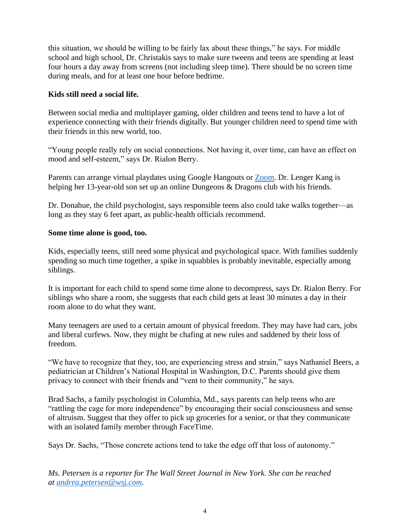this situation, we should be willing to be fairly lax about these things," he says. For middle school and high school, Dr. Christakis says to make sure tweens and teens are spending at least four hours a day away from screens (not including sleep time). There should be no screen time during meals, and for at least one hour before bedtime.

## **Kids still need a social life.**

Between social media and multiplayer gaming, older children and teens tend to have a lot of experience connecting with their friends digitally. But younger children need to spend time with their friends in this new world, too.

"Young people really rely on social connections. Not having it, over time, can have an effect on mood and self-esteem," says Dr. Rialon Berry.

Parents can arrange virtual playdates using Google Hangouts or [Zoom.](https://zoom.us/ent?zcid=2582&mod=article_inline) Dr. Lenger Kang is helping her 13-year-old son set up an online Dungeons & Dragons club with his friends.

Dr. Donahue, the child psychologist, says responsible teens also could take walks together—as long as they stay 6 feet apart, as public-health officials recommend.

## **Some time alone is good, too.**

Kids, especially teens, still need some physical and psychological space. With families suddenly spending so much time together, a spike in squabbles is probably inevitable, especially among siblings.

It is important for each child to spend some time alone to decompress, says Dr. Rialon Berry. For siblings who share a room, she suggests that each child gets at least 30 minutes a day in their room alone to do what they want.

Many teenagers are used to a certain amount of physical freedom. They may have had cars, jobs and liberal curfews. Now, they might be chafing at new rules and saddened by their loss of freedom.

"We have to recognize that they, too, are experiencing stress and strain," says Nathaniel Beers, a pediatrician at Children's National Hospital in Washington, D.C. Parents should give them privacy to connect with their friends and "vent to their community," he says.

Brad Sachs, a family psychologist in Columbia, Md., says parents can help teens who are "rattling the cage for more independence" by encouraging their social consciousness and sense of altruism. Suggest that they offer to pick up groceries for a senior, or that they communicate with an isolated family member through FaceTime.

Says Dr. Sachs, "Those concrete actions tend to take the edge off that loss of autonomy."

*Ms. Petersen is a reporter for The Wall Street Journal in New York. She can be reached at [andrea.petersen@wsj.com.](mailto:andrea.petersen@wsj.com)*